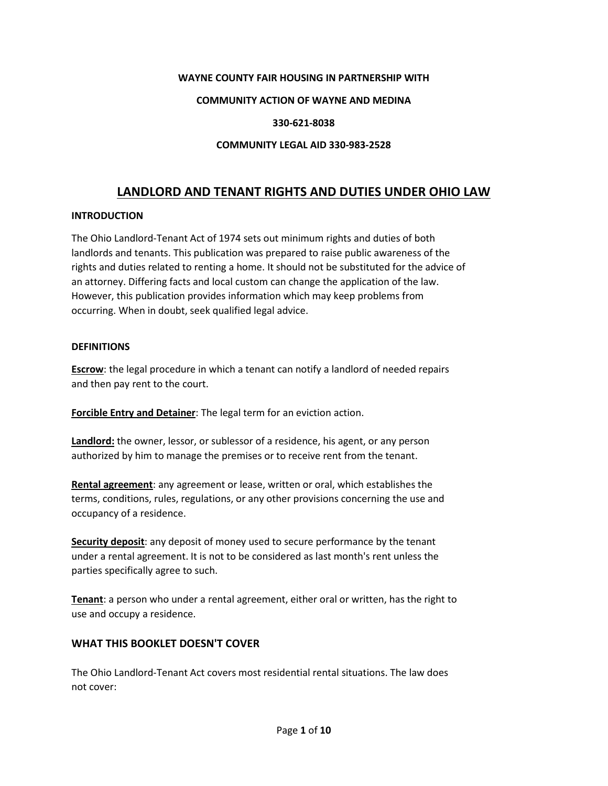#### **WAYNE COUNTY FAIR HOUSING IN PARTNERSHIP WITH**

#### **COMMUNITY ACTION OF WAYNE AND MEDINA**

#### **330-621-8038**

#### **COMMUNITY LEGAL AID 330-983-2528**

# **LANDLORD AND TENANT RIGHTS AND DUTIES UNDER OHIO LAW**

#### **INTRODUCTION**

The Ohio Landlord-Tenant Act of 1974 sets out minimum rights and duties of both landlords and tenants. This publication was prepared to raise public awareness of the rights and duties related to renting a home. It should not be substituted for the advice of an attorney. Differing facts and local custom can change the application of the law. However, this publication provides information which may keep problems from occurring. When in doubt, seek qualified legal advice.

#### **DEFINITIONS**

**Escrow**: the legal procedure in which a tenant can notify a landlord of needed repairs and then pay rent to the court.

**Forcible Entry and Detainer**: The legal term for an eviction action.

**Landlord:** the owner, lessor, or sublessor of a residence, his agent, or any person authorized by him to manage the premises or to receive rent from the tenant.

**Rental agreement**: any agreement or lease, written or oral, which establishes the terms, conditions, rules, regulations, or any other provisions concerning the use and occupancy of a residence.

**Security deposit**: any deposit of money used to secure performance by the tenant under a rental agreement. It is not to be considered as last month's rent unless the parties specifically agree to such.

**Tenant**: a person who under a rental agreement, either oral or written, has the right to use and occupy a residence.

#### **WHAT THIS BOOKLET DOESN'T COVER**

The Ohio Landlord-Tenant Act covers most residential rental situations. The law does not cover: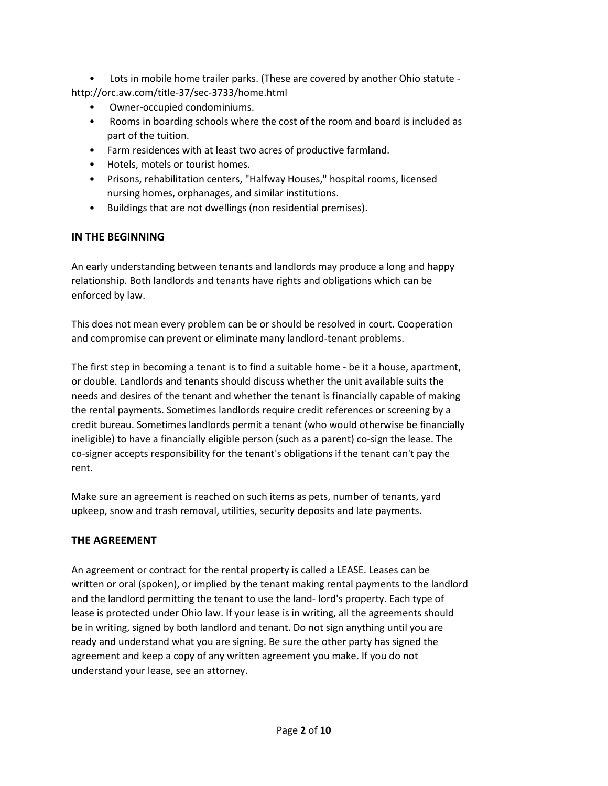• Lots in mobile home trailer parks. (These are covered by another Ohio statute http://orc.aw.com/title-37/sec-3733/home.html

- Owner-occupied condominiums.
- Rooms in boarding schools where the cost of the room and board is included as part of the tuition.
- Farm residences with at least two acres of productive farmland.
- Hotels, motels or tourist homes.
- Prisons, rehabilitation centers, "Halfway Houses," hospital rooms, licensed nursing homes, orphanages, and similar institutions.
- Buildings that are not dwellings (non residential premises).

### **IN THE BEGINNING**

An early understanding between tenants and landlords may produce a long and happy relationship. Both landlords and tenants have rights and obligations which can be enforced by law.

This does not mean every problem can be or should be resolved in court. Cooperation and compromise can prevent or eliminate many landlord-tenant problems.

The first step in becoming a tenant is to find a suitable home - be it a house, apartment, or double. Landlords and tenants should discuss whether the unit available suits the needs and desires of the tenant and whether the tenant is financially capable of making the rental payments. Sometimes landlords require credit references or screening by a credit bureau. Sometimes landlords permit a tenant (who would otherwise be financially ineligible) to have a financially eligible person (such as a parent) co-sign the lease. The co-signer accepts responsibility for the tenant's obligations if the tenant can't pay the rent.

Make sure an agreement is reached on such items as pets, number of tenants, yard upkeep, snow and trash removal, utilities, security deposits and late payments.

### **THE AGREEMENT**

An agreement or contract for the rental property is called a LEASE. Leases can be written or oral (spoken), or implied by the tenant making rental payments to the landlord and the landlord permitting the tenant to use the land- lord's property. Each type of lease is protected under Ohio law. If your lease is in writing, all the agreements should be in writing, signed by both landlord and tenant. Do not sign anything until you are ready and understand what you are signing. Be sure the other party has signed the agreement and keep a copy of any written agreement you make. If you do not understand your lease, see an attorney.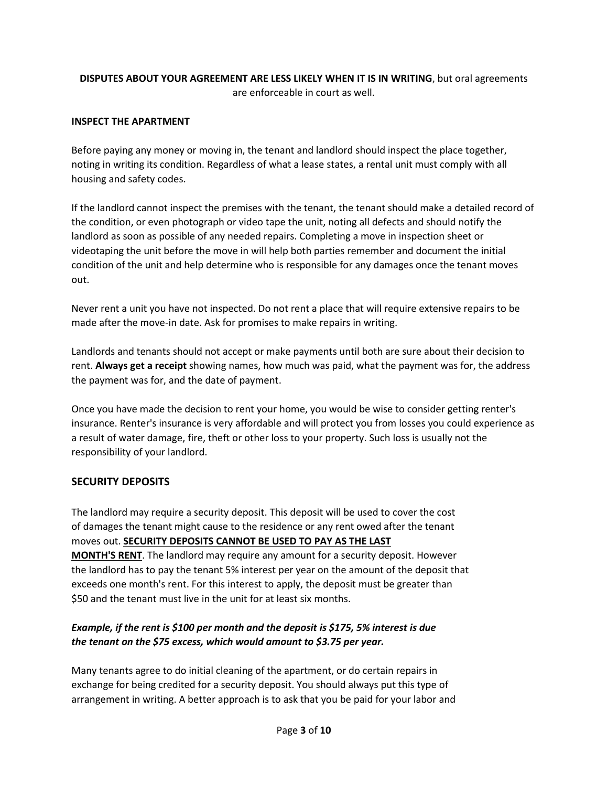### **DISPUTES ABOUT YOUR AGREEMENT ARE LESS LIKELY WHEN IT IS IN WRITING**, but oral agreements are enforceable in court as well.

#### **INSPECT THE APARTMENT**

Before paying any money or moving in, the tenant and landlord should inspect the place together, noting in writing its condition. Regardless of what a lease states, a rental unit must comply with all housing and safety codes.

If the landlord cannot inspect the premises with the tenant, the tenant should make a detailed record of the condition, or even photograph or video tape the unit, noting all defects and should notify the landlord as soon as possible of any needed repairs. Completing a move in inspection sheet or videotaping the unit before the move in will help both parties remember and document the initial condition of the unit and help determine who is responsible for any damages once the tenant moves out.

Never rent a unit you have not inspected. Do not rent a place that will require extensive repairs to be made after the move-in date. Ask for promises to make repairs in writing.

Landlords and tenants should not accept or make payments until both are sure about their decision to rent. **Always get a receipt** showing names, how much was paid, what the payment was for, the address the payment was for, and the date of payment.

Once you have made the decision to rent your home, you would be wise to consider getting renter's insurance. Renter's insurance is very affordable and will protect you from losses you could experience as a result of water damage, fire, theft or other loss to your property. Such loss is usually not the responsibility of your landlord.

#### **SECURITY DEPOSITS**

The landlord may require a security deposit. This deposit will be used to cover the cost of damages the tenant might cause to the residence or any rent owed after the tenant moves out. **SECURITY DEPOSITS CANNOT BE USED TO PAY AS THE LAST MONTH'S RENT**. The landlord may require any amount for a security deposit. However the landlord has to pay the tenant 5% interest per year on the amount of the deposit that exceeds one month's rent. For this interest to apply, the deposit must be greater than \$50 and the tenant must live in the unit for at least six months.

### *Example, if the rent is \$100 per month and the deposit is \$175, 5% interest is due the tenant on the \$75 excess, which would amount to \$3.75 per year.*

Many tenants agree to do initial cleaning of the apartment, or do certain repairs in exchange for being credited for a security deposit. You should always put this type of arrangement in writing. A better approach is to ask that you be paid for your labor and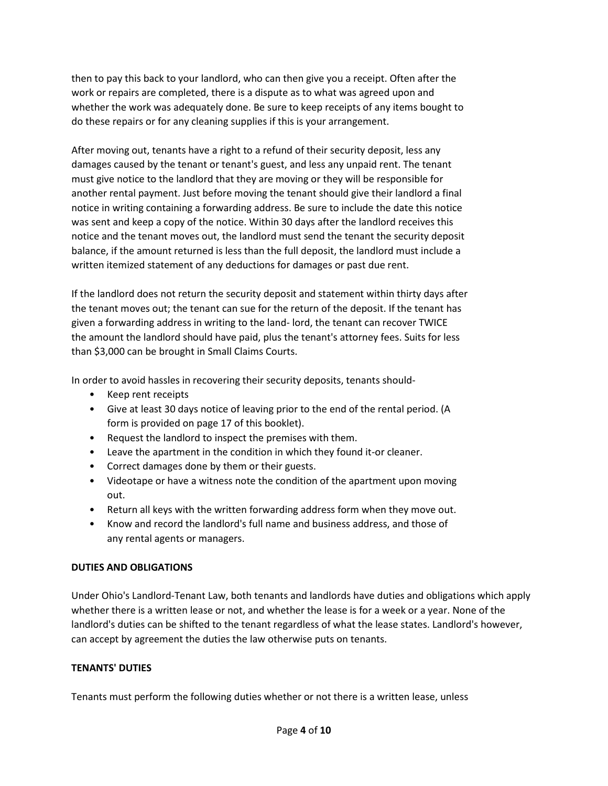then to pay this back to your landlord, who can then give you a receipt. Often after the work or repairs are completed, there is a dispute as to what was agreed upon and whether the work was adequately done. Be sure to keep receipts of any items bought to do these repairs or for any cleaning supplies if this is your arrangement.

After moving out, tenants have a right to a refund of their security deposit, less any damages caused by the tenant or tenant's guest, and less any unpaid rent. The tenant must give notice to the landlord that they are moving or they will be responsible for another rental payment. Just before moving the tenant should give their landlord a final notice in writing containing a forwarding address. Be sure to include the date this notice was sent and keep a copy of the notice. Within 30 days after the landlord receives this notice and the tenant moves out, the landlord must send the tenant the security deposit balance, if the amount returned is less than the full deposit, the landlord must include a written itemized statement of any deductions for damages or past due rent.

If the landlord does not return the security deposit and statement within thirty days after the tenant moves out; the tenant can sue for the return of the deposit. If the tenant has given a forwarding address in writing to the land- lord, the tenant can recover TWICE the amount the landlord should have paid, plus the tenant's attorney fees. Suits for less than \$3,000 can be brought in Small Claims Courts.

In order to avoid hassles in recovering their security deposits, tenants should-

- Keep rent receipts
- Give at least 30 days notice of leaving prior to the end of the rental period. (A form is provided on page 17 of this booklet).
- Request the landlord to inspect the premises with them.
- Leave the apartment in the condition in which they found it-or cleaner.
- Correct damages done by them or their guests.
- Videotape or have a witness note the condition of the apartment upon moving out.
- Return all keys with the written forwarding address form when they move out.
- Know and record the landlord's full name and business address, and those of any rental agents or managers.

#### **DUTIES AND OBLIGATIONS**

Under Ohio's Landlord-Tenant Law, both tenants and landlords have duties and obligations which apply whether there is a written lease or not, and whether the lease is for a week or a year. None of the landlord's duties can be shifted to the tenant regardless of what the lease states. Landlord's however, can accept by agreement the duties the law otherwise puts on tenants.

### **TENANTS' DUTIES**

Tenants must perform the following duties whether or not there is a written lease, unless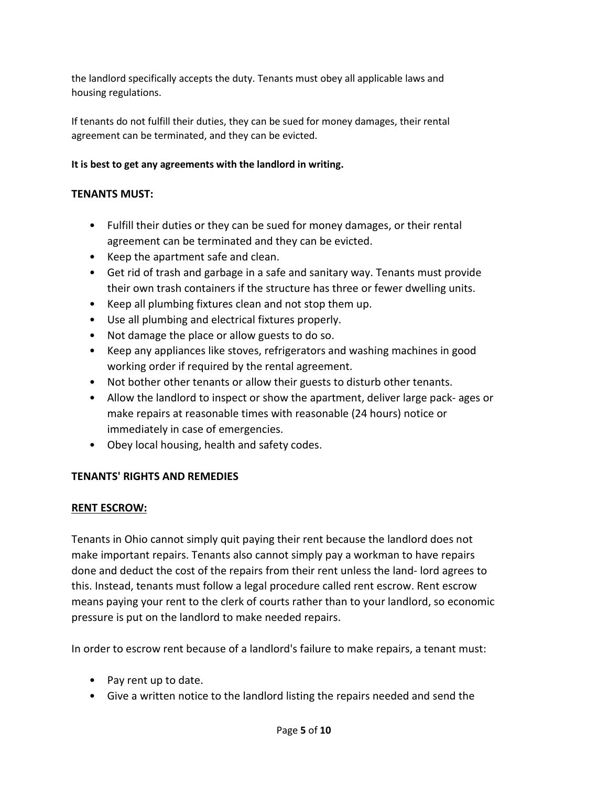the landlord specifically accepts the duty. Tenants must obey all applicable laws and housing regulations.

If tenants do not fulfill their duties, they can be sued for money damages, their rental agreement can be terminated, and they can be evicted.

### **It is best to get any agreements with the landlord in writing.**

## **TENANTS MUST:**

- Fulfill their duties or they can be sued for money damages, or their rental agreement can be terminated and they can be evicted.
- Keep the apartment safe and clean.
- Get rid of trash and garbage in a safe and sanitary way. Tenants must provide their own trash containers if the structure has three or fewer dwelling units.
- Keep all plumbing fixtures clean and not stop them up.
- Use all plumbing and electrical fixtures properly.
- Not damage the place or allow guests to do so.
- Keep any appliances like stoves, refrigerators and washing machines in good working order if required by the rental agreement.
- Not bother other tenants or allow their guests to disturb other tenants.
- Allow the landlord to inspect or show the apartment, deliver large pack- ages or make repairs at reasonable times with reasonable (24 hours) notice or immediately in case of emergencies.
- Obey local housing, health and safety codes.

### **TENANTS' RIGHTS AND REMEDIES**

### **RENT ESCROW:**

Tenants in Ohio cannot simply quit paying their rent because the landlord does not make important repairs. Tenants also cannot simply pay a workman to have repairs done and deduct the cost of the repairs from their rent unless the land- lord agrees to this. Instead, tenants must follow a legal procedure called rent escrow. Rent escrow means paying your rent to the clerk of courts rather than to your landlord, so economic pressure is put on the landlord to make needed repairs.

In order to escrow rent because of a landlord's failure to make repairs, a tenant must:

- Pay rent up to date.
- Give a written notice to the landlord listing the repairs needed and send the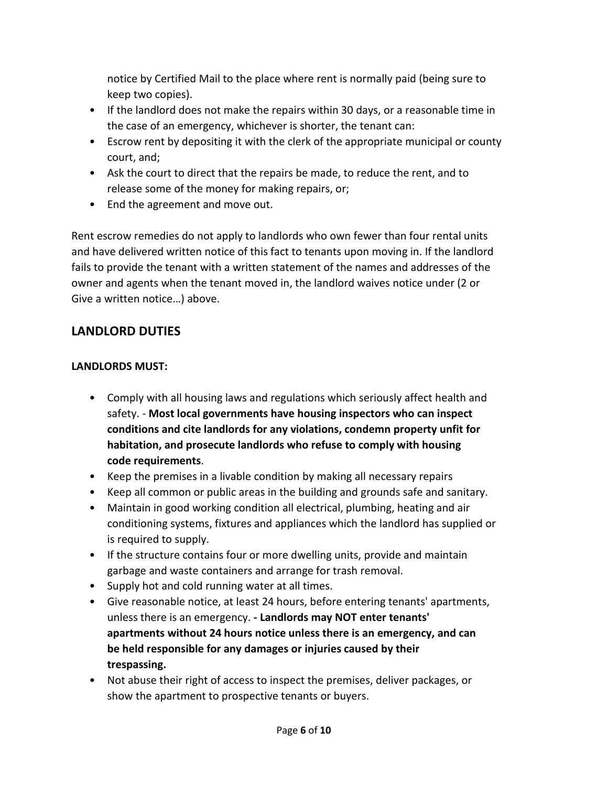notice by Certified Mail to the place where rent is normally paid (being sure to keep two copies).

- If the landlord does not make the repairs within 30 days, or a reasonable time in the case of an emergency, whichever is shorter, the tenant can:
- Escrow rent by depositing it with the clerk of the appropriate municipal or county court, and;
- Ask the court to direct that the repairs be made, to reduce the rent, and to release some of the money for making repairs, or;
- End the agreement and move out.

Rent escrow remedies do not apply to landlords who own fewer than four rental units and have delivered written notice of this fact to tenants upon moving in. If the landlord fails to provide the tenant with a written statement of the names and addresses of the owner and agents when the tenant moved in, the landlord waives notice under (2 or Give a written notice…) above.

# **LANDLORD DUTIES**

# **LANDLORDS MUST:**

- Comply with all housing laws and regulations which seriously affect health and safety. - **Most local governments have housing inspectors who can inspect conditions and cite landlords for any violations, condemn property unfit for habitation, and prosecute landlords who refuse to comply with housing code requirements**.
- Keep the premises in a livable condition by making all necessary repairs
- Keep all common or public areas in the building and grounds safe and sanitary.
- Maintain in good working condition all electrical, plumbing, heating and air conditioning systems, fixtures and appliances which the landlord has supplied or is required to supply.
- If the structure contains four or more dwelling units, provide and maintain garbage and waste containers and arrange for trash removal.
- Supply hot and cold running water at all times.
- Give reasonable notice, at least 24 hours, before entering tenants' apartments, unless there is an emergency. **- Landlords may NOT enter tenants' apartments without 24 hours notice unless there is an emergency, and can be held responsible for any damages or injuries caused by their trespassing.**
- Not abuse their right of access to inspect the premises, deliver packages, or show the apartment to prospective tenants or buyers.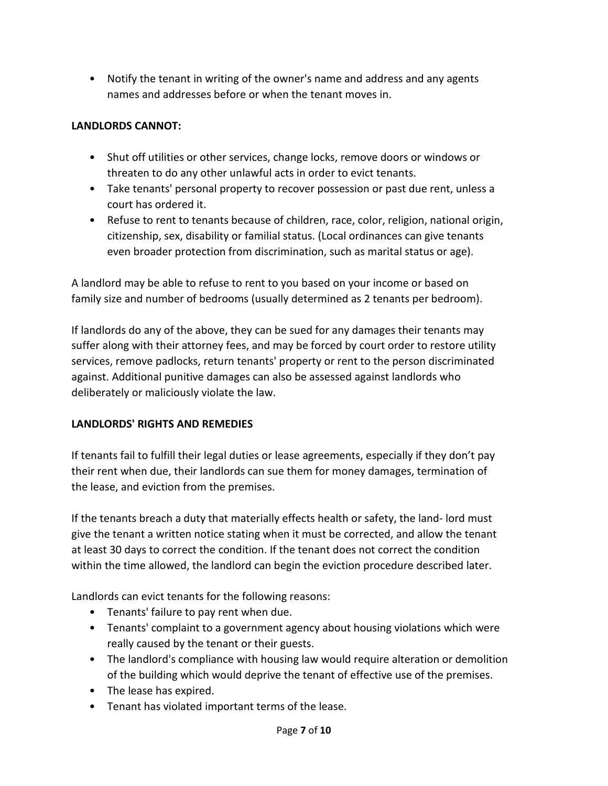• Notify the tenant in writing of the owner's name and address and any agents names and addresses before or when the tenant moves in.

# **LANDLORDS CANNOT:**

- Shut off utilities or other services, change locks, remove doors or windows or threaten to do any other unlawful acts in order to evict tenants.
- Take tenants' personal property to recover possession or past due rent, unless a court has ordered it.
- Refuse to rent to tenants because of children, race, color, religion, national origin, citizenship, sex, disability or familial status. (Local ordinances can give tenants even broader protection from discrimination, such as marital status or age).

A landlord may be able to refuse to rent to you based on your income or based on family size and number of bedrooms (usually determined as 2 tenants per bedroom).

If landlords do any of the above, they can be sued for any damages their tenants may suffer along with their attorney fees, and may be forced by court order to restore utility services, remove padlocks, return tenants' property or rent to the person discriminated against. Additional punitive damages can also be assessed against landlords who deliberately or maliciously violate the law.

# **LANDLORDS' RIGHTS AND REMEDIES**

If tenants fail to fulfill their legal duties or lease agreements, especially if they don't pay their rent when due, their landlords can sue them for money damages, termination of the lease, and eviction from the premises.

If the tenants breach a duty that materially effects health or safety, the land- lord must give the tenant a written notice stating when it must be corrected, and allow the tenant at least 30 days to correct the condition. If the tenant does not correct the condition within the time allowed, the landlord can begin the eviction procedure described later.

Landlords can evict tenants for the following reasons:

- Tenants' failure to pay rent when due.
- Tenants' complaint to a government agency about housing violations which were really caused by the tenant or their guests.
- The landlord's compliance with housing law would require alteration or demolition of the building which would deprive the tenant of effective use of the premises.
- The lease has expired.
- Tenant has violated important terms of the lease.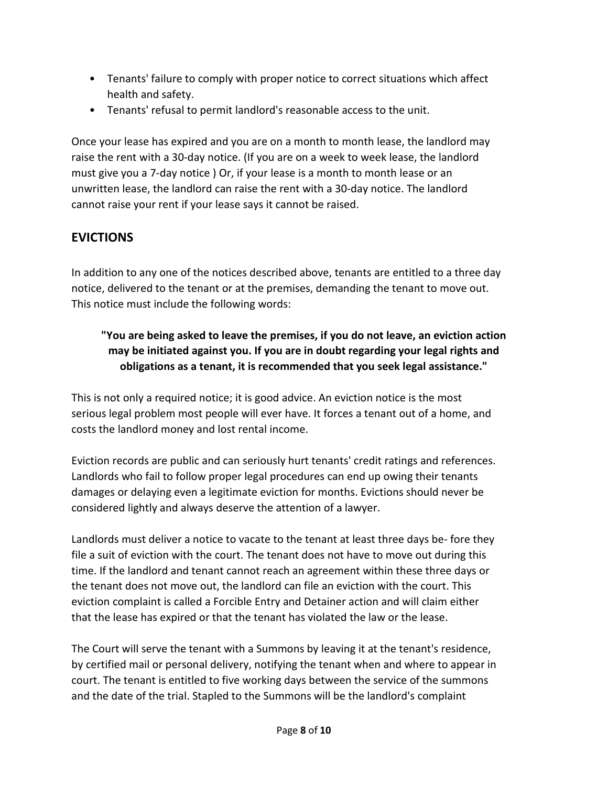- Tenants' failure to comply with proper notice to correct situations which affect health and safety.
- Tenants' refusal to permit landlord's reasonable access to the unit.

Once your lease has expired and you are on a month to month lease, the landlord may raise the rent with a 30-day notice. (If you are on a week to week lease, the landlord must give you a 7-day notice ) Or, if your lease is a month to month lease or an unwritten lease, the landlord can raise the rent with a 30-day notice. The landlord cannot raise your rent if your lease says it cannot be raised.

# **EVICTIONS**

In addition to any one of the notices described above, tenants are entitled to a three day notice, delivered to the tenant or at the premises, demanding the tenant to move out. This notice must include the following words:

# **"You are being asked to leave the premises, if you do not leave, an eviction action may be initiated against you. If you are in doubt regarding your legal rights and obligations as a tenant, it is recommended that you seek legal assistance."**

This is not only a required notice; it is good advice. An eviction notice is the most serious legal problem most people will ever have. It forces a tenant out of a home, and costs the landlord money and lost rental income.

Eviction records are public and can seriously hurt tenants' credit ratings and references. Landlords who fail to follow proper legal procedures can end up owing their tenants damages or delaying even a legitimate eviction for months. Evictions should never be considered lightly and always deserve the attention of a lawyer.

Landlords must deliver a notice to vacate to the tenant at least three days be- fore they file a suit of eviction with the court. The tenant does not have to move out during this time. If the landlord and tenant cannot reach an agreement within these three days or the tenant does not move out, the landlord can file an eviction with the court. This eviction complaint is called a Forcible Entry and Detainer action and will claim either that the lease has expired or that the tenant has violated the law or the lease.

The Court will serve the tenant with a Summons by leaving it at the tenant's residence, by certified mail or personal delivery, notifying the tenant when and where to appear in court. The tenant is entitled to five working days between the service of the summons and the date of the trial. Stapled to the Summons will be the landlord's complaint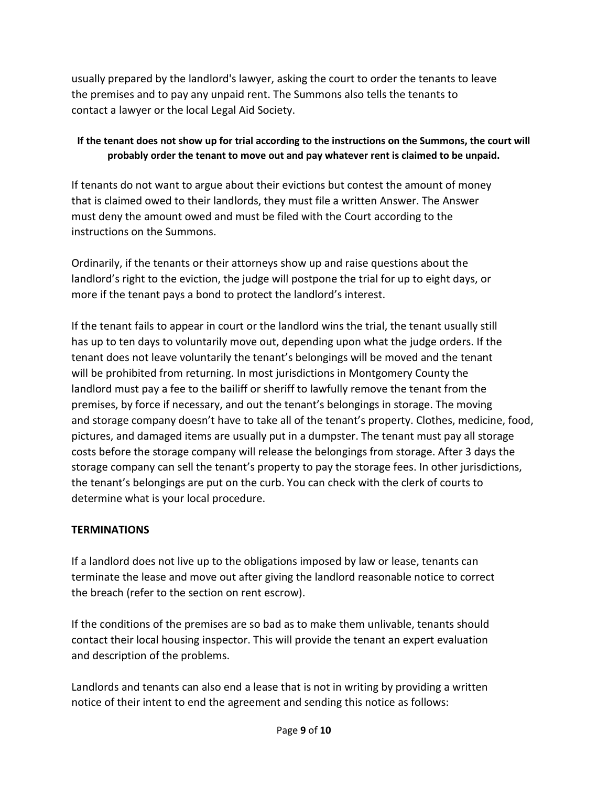usually prepared by the landlord's lawyer, asking the court to order the tenants to leave the premises and to pay any unpaid rent. The Summons also tells the tenants to contact a lawyer or the local Legal Aid Society.

## **If the tenant does not show up for trial according to the instructions on the Summons, the court will probably order the tenant to move out and pay whatever rent is claimed to be unpaid.**

If tenants do not want to argue about their evictions but contest the amount of money that is claimed owed to their landlords, they must file a written Answer. The Answer must deny the amount owed and must be filed with the Court according to the instructions on the Summons.

Ordinarily, if the tenants or their attorneys show up and raise questions about the landlord's right to the eviction, the judge will postpone the trial for up to eight days, or more if the tenant pays a bond to protect the landlord's interest.

If the tenant fails to appear in court or the landlord wins the trial, the tenant usually still has up to ten days to voluntarily move out, depending upon what the judge orders. If the tenant does not leave voluntarily the tenant's belongings will be moved and the tenant will be prohibited from returning. In most jurisdictions in Montgomery County the landlord must pay a fee to the bailiff or sheriff to lawfully remove the tenant from the premises, by force if necessary, and out the tenant's belongings in storage. The moving and storage company doesn't have to take all of the tenant's property. Clothes, medicine, food, pictures, and damaged items are usually put in a dumpster. The tenant must pay all storage costs before the storage company will release the belongings from storage. After 3 days the storage company can sell the tenant's property to pay the storage fees. In other jurisdictions, the tenant's belongings are put on the curb. You can check with the clerk of courts to determine what is your local procedure.

# **TERMINATIONS**

If a landlord does not live up to the obligations imposed by law or lease, tenants can terminate the lease and move out after giving the landlord reasonable notice to correct the breach (refer to the section on rent escrow).

If the conditions of the premises are so bad as to make them unlivable, tenants should contact their local housing inspector. This will provide the tenant an expert evaluation and description of the problems.

Landlords and tenants can also end a lease that is not in writing by providing a written notice of their intent to end the agreement and sending this notice as follows: